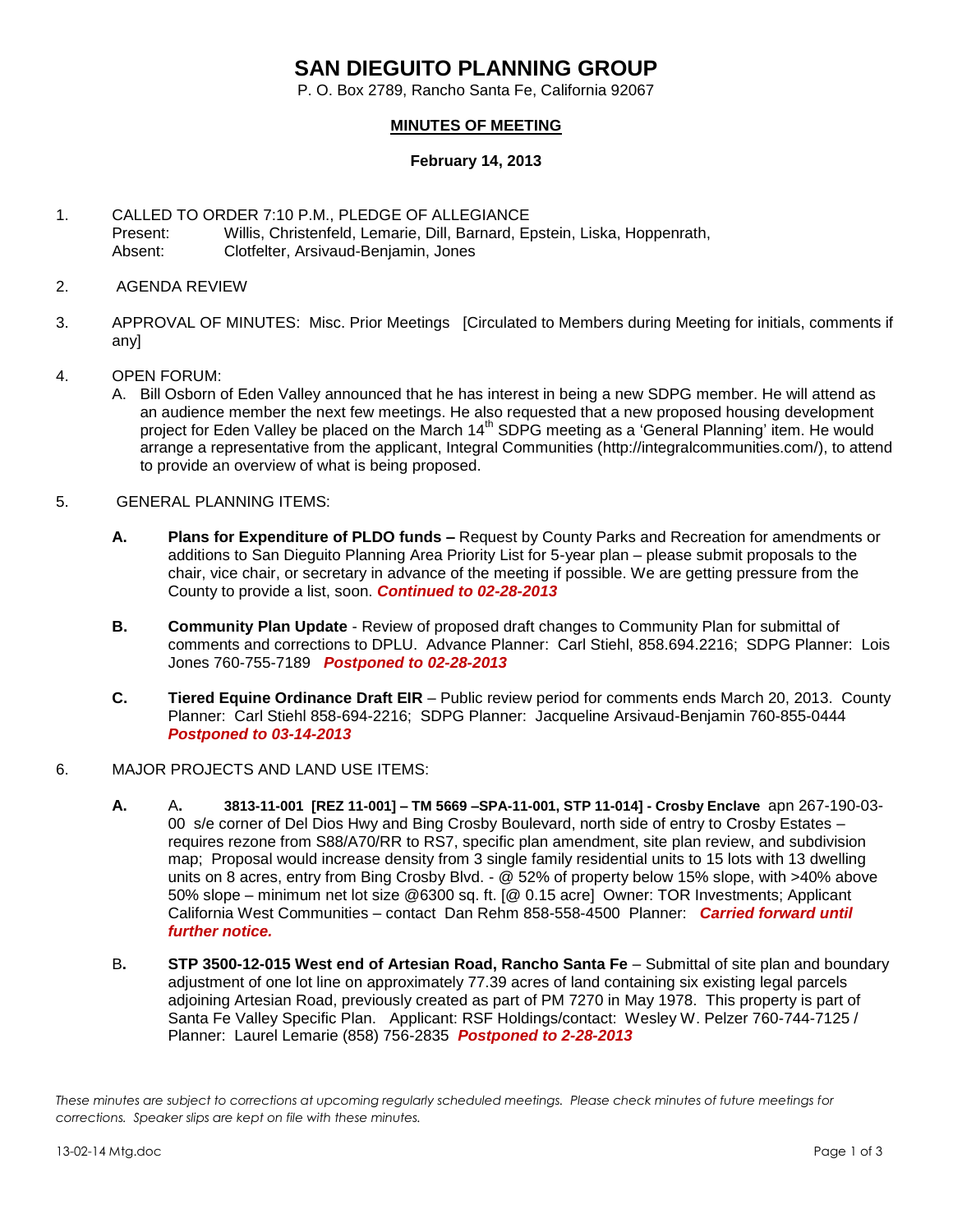## **SAN DIEGUITO PLANNING GROUP**

P. O. Box 2789, Rancho Santa Fe, California 92067

## **MINUTES OF MEETING**

## **February 14, 2013**

- 1. CALLED TO ORDER 7:10 P.M., PLEDGE OF ALLEGIANCE Present: Willis, Christenfeld, Lemarie, Dill, Barnard, Epstein, Liska, Hoppenrath, Absent: Clotfelter, Arsivaud-Benjamin, Jones
- 2. AGENDA REVIEW
- 3. APPROVAL OF MINUTES: Misc. Prior Meetings [Circulated to Members during Meeting for initials, comments if any]
- 4. OPEN FORUM:
	- A. Bill Osborn of Eden Valley announced that he has interest in being a new SDPG member. He will attend as an audience member the next few meetings. He also requested that a new proposed housing development project for Eden Valley be placed on the March 14<sup>th</sup> SDPG meeting as a 'General Planning' item. He would arrange a representative from the applicant, Integral Communities (http://integralcommunities.com/), to attend to provide an overview of what is being proposed.
- 5. GENERAL PLANNING ITEMS:
	- **A. Plans for Expenditure of PLDO funds –** Request by County Parks and Recreation for amendments or additions to San Dieguito Planning Area Priority List for 5-year plan – please submit proposals to the chair, vice chair, or secretary in advance of the meeting if possible. We are getting pressure from the County to provide a list, soon. *Continued to 02-28-2013*
	- **B. Community Plan Update** Review of proposed draft changes to Community Plan for submittal of comments and corrections to DPLU. Advance Planner: Carl Stiehl, 858.694.2216; SDPG Planner: Lois Jones 760-755-7189 *Postponed to 02-28-2013*
	- **C. Tiered Equine Ordinance Draft EIR**  Public review period for comments ends March 20, 2013. County Planner: Carl Stiehl 858-694-2216; SDPG Planner: Jacqueline Arsivaud-Benjamin 760-855-0444 *Postponed to 03-14-2013*
- 6. MAJOR PROJECTS AND LAND USE ITEMS:
	- **A.** A**. 3813-11-001 [REZ 11-001] – TM 5669 –SPA-11-001, STP 11-014] - Crosby Enclave** apn 267-190-03- 00 s/e corner of Del Dios Hwy and Bing Crosby Boulevard, north side of entry to Crosby Estates – requires rezone from S88/A70/RR to RS7, specific plan amendment, site plan review, and subdivision map; Proposal would increase density from 3 single family residential units to 15 lots with 13 dwelling units on 8 acres, entry from Bing Crosby Blvd. - @ 52% of property below 15% slope, with >40% above 50% slope – minimum net lot size @6300 sq. ft. [@ 0.15 acre] Owner: TOR Investments; Applicant California West Communities – contact Dan Rehm 858-558-4500 Planner: *Carried forward until further notice.*
	- B**. STP 3500-12-015 West end of Artesian Road, Rancho Santa Fe** Submittal of site plan and boundary adjustment of one lot line on approximately 77.39 acres of land containing six existing legal parcels adjoining Artesian Road, previously created as part of PM 7270 in May 1978. This property is part of Santa Fe Valley Specific Plan.Applicant: RSF Holdings/contact: Wesley W. Pelzer 760-744-7125 / Planner: Laurel Lemarie (858) 756-2835 *Postponed to 2-28-2013*

*These minutes are subject to corrections at upcoming regularly scheduled meetings. Please check minutes of future meetings for corrections. Speaker slips are kept on file with these minutes.*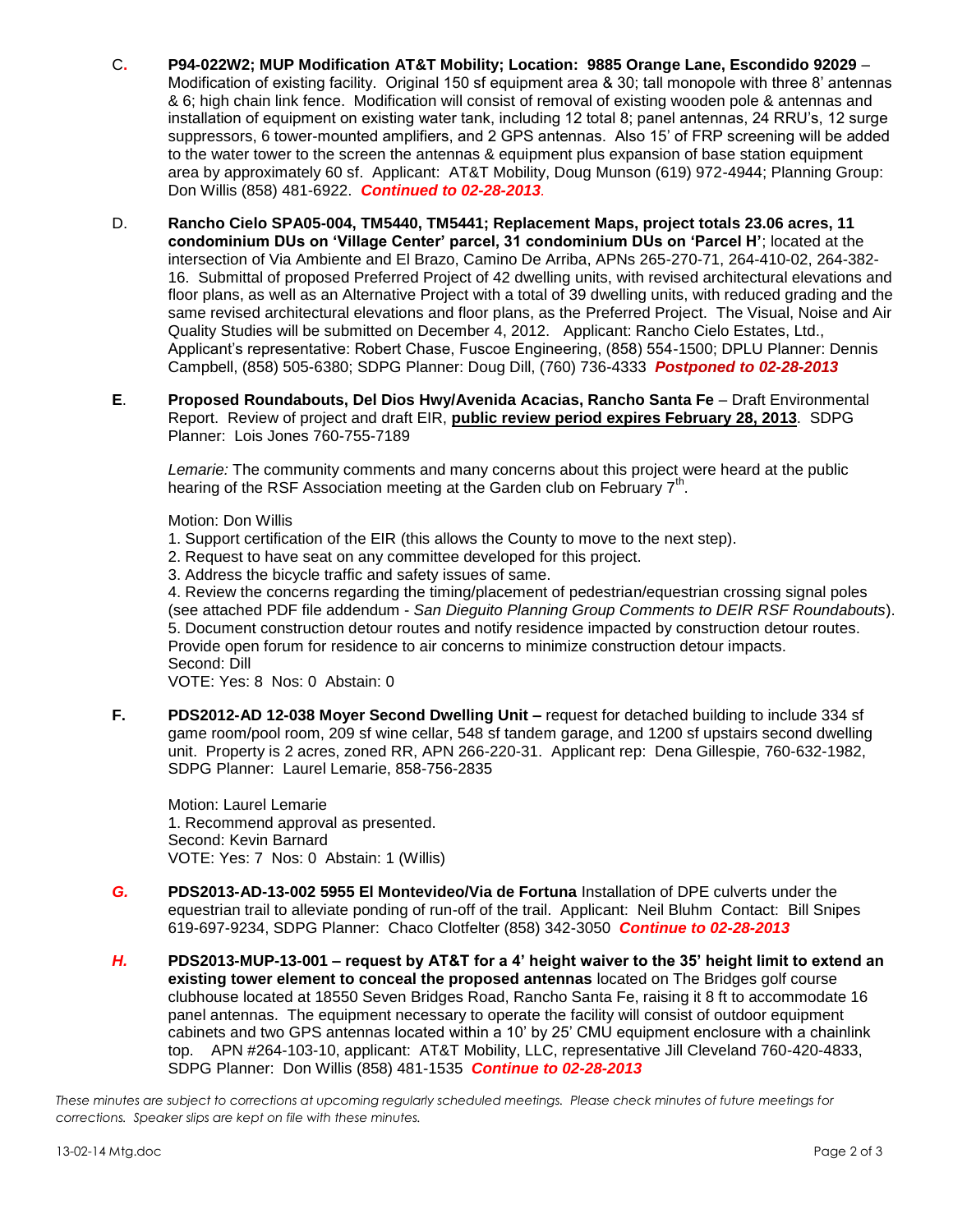- C**. P94-022W2; MUP Modification AT&T Mobility; Location: 9885 Orange Lane, Escondido 92029** Modification of existing facility. Original 150 sf equipment area & 30; tall monopole with three 8' antennas & 6; high chain link fence. Modification will consist of removal of existing wooden pole & antennas and installation of equipment on existing water tank, including 12 total 8; panel antennas, 24 RRU's, 12 surge suppressors, 6 tower-mounted amplifiers, and 2 GPS antennas. Also 15' of FRP screening will be added to the water tower to the screen the antennas & equipment plus expansion of base station equipment area by approximately 60 sf. Applicant: AT&T Mobility, Doug Munson (619) 972-4944; Planning Group: Don Willis (858) 481-6922. *Continued to 02-28-2013.*
- D. **Rancho Cielo SPA05-004, TM5440, TM5441; Replacement Maps, project totals 23.06 acres, 11 condominium DUs on 'Village Center' parcel, 31 condominium DUs on 'Parcel H'**; located at the intersection of Via Ambiente and El Brazo, Camino De Arriba, APNs 265-270-71, 264-410-02, 264-382- 16. Submittal of proposed Preferred Project of 42 dwelling units, with revised architectural elevations and floor plans, as well as an Alternative Project with a total of 39 dwelling units, with reduced grading and the same revised architectural elevations and floor plans, as the Preferred Project. The Visual, Noise and Air Quality Studies will be submitted on December 4, 2012. Applicant: Rancho Cielo Estates, Ltd., Applicant's representative: Robert Chase, Fuscoe Engineering, (858) 554-1500; DPLU Planner: Dennis Campbell, (858) 505-6380; SDPG Planner: Doug Dill, (760) 736-4333 *Postponed to 02-28-2013*
- **E**. **Proposed Roundabouts, Del Dios Hwy/Avenida Acacias, Rancho Santa Fe** Draft Environmental Report. Review of project and draft EIR, **public review period expires February 28, 2013**. SDPG Planner: Lois Jones 760-755-7189

*Lemarie:* The community comments and many concerns about this project were heard at the public hearing of the RSF Association meeting at the Garden club on February 7<sup>th</sup>.

Motion: Don Willis

- 1. Support certification of the EIR (this allows the County to move to the next step).
- 2. Request to have seat on any committee developed for this project.
- 3. Address the bicycle traffic and safety issues of same.

4. Review the concerns regarding the timing/placement of pedestrian/equestrian crossing signal poles (see attached PDF file addendum - *San Dieguito Planning Group Comments to DEIR RSF Roundabouts*). 5. Document construction detour routes and notify residence impacted by construction detour routes. Provide open forum for residence to air concerns to minimize construction detour impacts. Second: Dill

VOTE: Yes: 8 Nos: 0 Abstain: 0

**F. PDS2012-AD 12-038 Moyer Second Dwelling Unit –** request for detached building to include 334 sf game room/pool room, 209 sf wine cellar, 548 sf tandem garage, and 1200 sf upstairs second dwelling unit. Property is 2 acres, zoned RR, APN 266-220-31. Applicant rep: Dena Gillespie, 760-632-1982, SDPG Planner: Laurel Lemarie, 858-756-2835

Motion: Laurel Lemarie 1. Recommend approval as presented. Second: Kevin Barnard VOTE: Yes: 7 Nos: 0 Abstain: 1 (Willis)

- *G.* **PDS2013-AD-13-002 5955 El Montevideo/Via de Fortuna** Installation of DPE culverts under the equestrian trail to alleviate ponding of run-off of the trail. Applicant: Neil Bluhm Contact: Bill Snipes 619-697-9234, SDPG Planner: Chaco Clotfelter (858) 342-3050 *Continue to 02-28-2013*
- *H.* **PDS2013-MUP-13-001 – request by AT&T for a 4' height waiver to the 35' height limit to extend an existing tower element to conceal the proposed antennas** located on The Bridges golf course clubhouse located at 18550 Seven Bridges Road, Rancho Santa Fe, raising it 8 ft to accommodate 16 panel antennas. The equipment necessary to operate the facility will consist of outdoor equipment cabinets and two GPS antennas located within a 10' by 25' CMU equipment enclosure with a chainlink top. APN #264-103-10, applicant: AT&T Mobility, LLC, representative Jill Cleveland 760-420-4833, SDPG Planner: Don Willis (858) 481-1535 *Continue to 02-28-2013*

*These minutes are subject to corrections at upcoming regularly scheduled meetings. Please check minutes of future meetings for corrections. Speaker slips are kept on file with these minutes.*